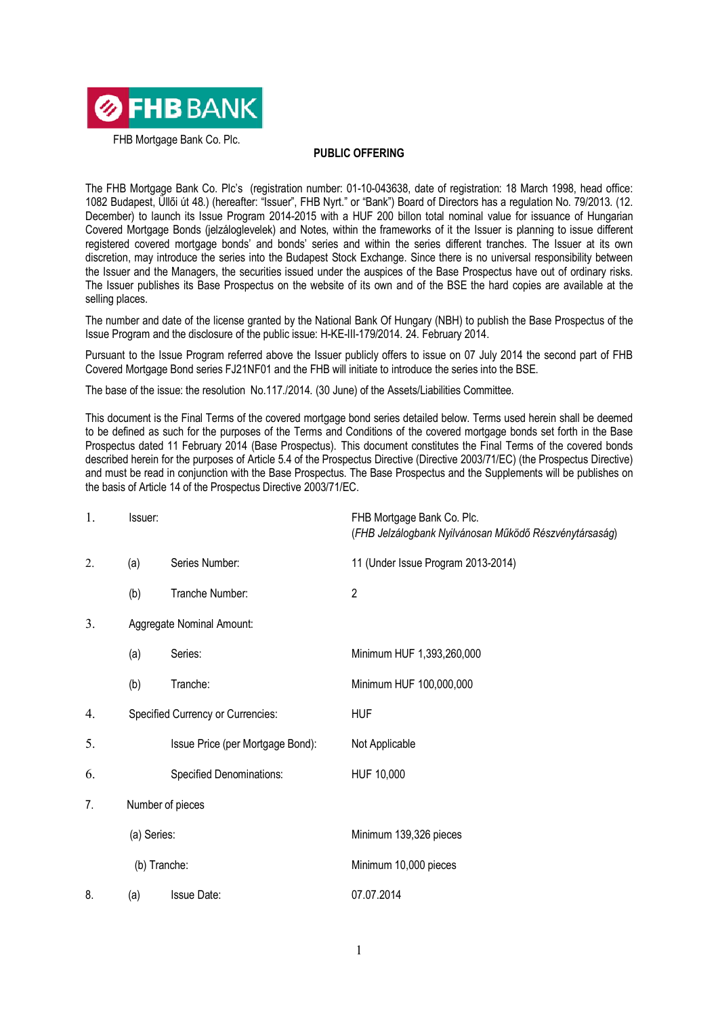

FHB Mortgage Bank Co. Plc.

## **PUBLIC OFFERING**

The FHB Mortgage Bank Co. Plc's (registration number: 01-10-043638, date of registration: 18 March 1998, head office: 1082 Budapest, Üllői út 48.) (hereafter: "Issuer", FHB Nyrt." or "Bank") Board of Directors has a regulation No. 79/2013. (12. December) to launch its Issue Program 2014-2015 with a HUF 200 billon total nominal value for issuance of Hungarian Covered Mortgage Bonds (jelzáloglevelek) and Notes, within the frameworks of it the Issuer is planning to issue different registered covered mortgage bonds' and bonds' series and within the series different tranches. The Issuer at its own discretion, may introduce the series into the Budapest Stock Exchange. Since there is no universal responsibility between the Issuer and the Managers, the securities issued under the auspices of the Base Prospectus have out of ordinary risks. The Issuer publishes its Base Prospectus on the website of its own and of the BSE the hard copies are available at the selling places.

The number and date of the license granted by the National Bank Of Hungary (NBH) to publish the Base Prospectus of the Issue Program and the disclosure of the public issue: H-KE-III-179/2014. 24. February 2014.

Pursuant to the Issue Program referred above the Issuer publicly offers to issue on 07 July 2014 the second part of FHB Covered Mortgage Bond series FJ21NF01 and the FHB will initiate to introduce the series into the BSE.

The base of the issue: the resolution No.117./2014. (30 June) of the Assets/Liabilities Committee.

This document is the Final Terms of the covered mortgage bond series detailed below. Terms used herein shall be deemed to be defined as such for the purposes of the Terms and Conditions of the covered mortgage bonds set forth in the Base Prospectus dated 11 February 2014 (Base Prospectus). This document constitutes the Final Terms of the covered bonds described herein for the purposes of Article 5.4 of the Prospectus Directive (Directive 2003/71/EC) (the Prospectus Directive) and must be read in conjunction with the Base Prospectus. The Base Prospectus and the Supplements will be publishes on the basis of Article 14 of the Prospectus Directive 2003/71/EC.

| 1. | Issuer:     |                                   | FHB Mortgage Bank Co. Plc.<br>(FHB Jelzálogbank Nyilvánosan Működő Részvénytársaság) |
|----|-------------|-----------------------------------|--------------------------------------------------------------------------------------|
| 2. | (a)         | Series Number:                    | 11 (Under Issue Program 2013-2014)                                                   |
|    | (b)         | Tranche Number:                   | $\mathbf{2}$                                                                         |
| 3. |             | Aggregate Nominal Amount:         |                                                                                      |
|    | (a)         | Series:                           | Minimum HUF 1,393,260,000                                                            |
|    | (b)         | Tranche:                          | Minimum HUF 100,000,000                                                              |
| 4. |             | Specified Currency or Currencies: | <b>HUF</b>                                                                           |
| 5. |             | Issue Price (per Mortgage Bond):  | Not Applicable                                                                       |
| 6. |             | <b>Specified Denominations:</b>   | HUF 10,000                                                                           |
| 7. |             | Number of pieces                  |                                                                                      |
|    | (a) Series: |                                   | Minimum 139,326 pieces                                                               |
|    |             | (b) Tranche:                      | Minimum 10,000 pieces                                                                |
| 8. | (a)         | <b>Issue Date:</b>                | 07.07.2014                                                                           |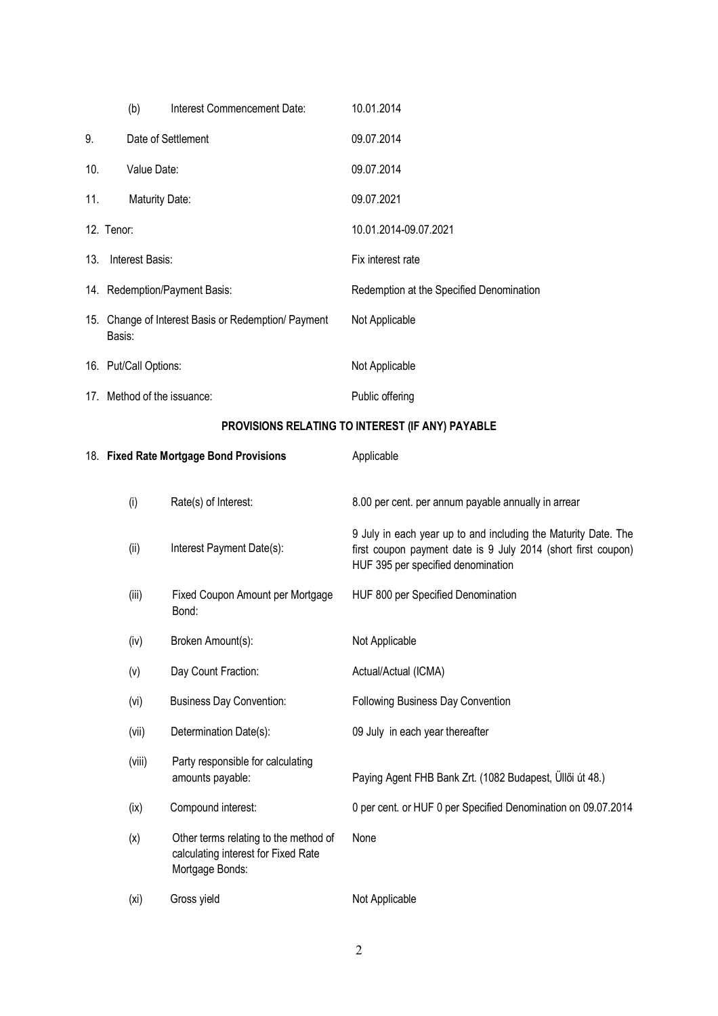|     | (b)                                                           | Interest Commencement Date:                                                                     | 10.01.2014                                                                                                                                                            |
|-----|---------------------------------------------------------------|-------------------------------------------------------------------------------------------------|-----------------------------------------------------------------------------------------------------------------------------------------------------------------------|
| 9.  |                                                               | Date of Settlement                                                                              | 09.07.2014                                                                                                                                                            |
| 10. | Value Date:                                                   |                                                                                                 | 09.07.2014                                                                                                                                                            |
| 11. | <b>Maturity Date:</b>                                         |                                                                                                 | 09.07.2021                                                                                                                                                            |
|     | 12. Tenor:                                                    |                                                                                                 | 10.01.2014-09.07.2021                                                                                                                                                 |
| 13. | Interest Basis:                                               |                                                                                                 | Fix interest rate                                                                                                                                                     |
|     | 14. Redemption/Payment Basis:                                 |                                                                                                 | Redemption at the Specified Denomination                                                                                                                              |
|     | 15. Change of Interest Basis or Redemption/ Payment<br>Basis: |                                                                                                 | Not Applicable                                                                                                                                                        |
|     | 16. Put/Call Options:                                         |                                                                                                 | Not Applicable                                                                                                                                                        |
|     | 17. Method of the issuance:                                   |                                                                                                 | Public offering                                                                                                                                                       |
|     |                                                               |                                                                                                 | PROVISIONS RELATING TO INTEREST (IF ANY) PAYABLE                                                                                                                      |
|     |                                                               | 18. Fixed Rate Mortgage Bond Provisions                                                         | Applicable                                                                                                                                                            |
|     | (i)                                                           | Rate(s) of Interest:                                                                            | 8.00 per cent. per annum payable annually in arrear                                                                                                                   |
|     | (ii)                                                          | Interest Payment Date(s):                                                                       | 9 July in each year up to and including the Maturity Date. The<br>first coupon payment date is 9 July 2014 (short first coupon)<br>HUF 395 per specified denomination |
|     | (iii)                                                         | Fixed Coupon Amount per Mortgage<br>Bond:                                                       | HUF 800 per Specified Denomination                                                                                                                                    |
|     | (iv)                                                          | Broken Amount(s):                                                                               | Not Applicable                                                                                                                                                        |
|     | (v)                                                           | Day Count Fraction:                                                                             | Actual/Actual (ICMA)                                                                                                                                                  |
|     | (vi)                                                          | <b>Business Day Convention:</b>                                                                 | Following Business Day Convention                                                                                                                                     |
|     | (vii)                                                         | Determination Date(s):                                                                          | 09 July in each year thereafter                                                                                                                                       |
|     | (viii)                                                        | Party responsible for calculating<br>amounts payable:                                           | Paying Agent FHB Bank Zrt. (1082 Budapest, Üllői út 48.)                                                                                                              |
|     | (ix)                                                          | Compound interest:                                                                              | 0 per cent. or HUF 0 per Specified Denomination on 09.07.2014                                                                                                         |
|     | (x)                                                           | Other terms relating to the method of<br>calculating interest for Fixed Rate<br>Mortgage Bonds: | None                                                                                                                                                                  |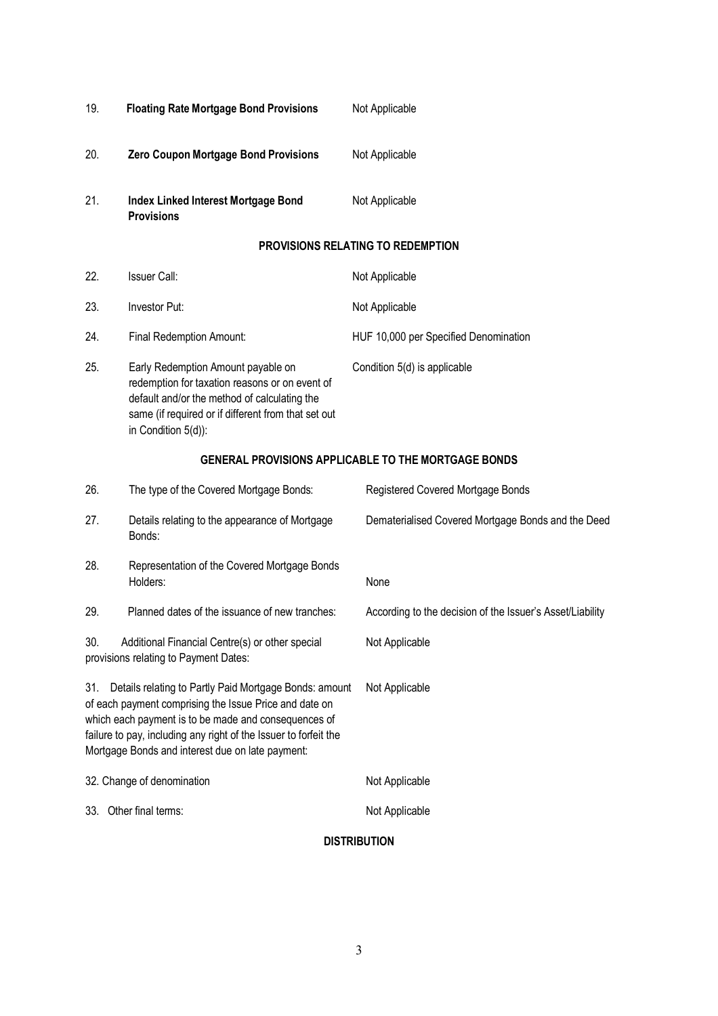| 19. | <b>Floating Rate Mortgage Bond Provisions</b>                                                                                                                                                                                                                                                    | Not Applicable                                             |
|-----|--------------------------------------------------------------------------------------------------------------------------------------------------------------------------------------------------------------------------------------------------------------------------------------------------|------------------------------------------------------------|
| 20. | Zero Coupon Mortgage Bond Provisions                                                                                                                                                                                                                                                             | Not Applicable                                             |
| 21. | Index Linked Interest Mortgage Bond<br><b>Provisions</b>                                                                                                                                                                                                                                         | Not Applicable                                             |
|     |                                                                                                                                                                                                                                                                                                  | PROVISIONS RELATING TO REDEMPTION                          |
| 22. | <b>Issuer Call:</b>                                                                                                                                                                                                                                                                              | Not Applicable                                             |
| 23. | Investor Put:                                                                                                                                                                                                                                                                                    | Not Applicable                                             |
| 24. | Final Redemption Amount:                                                                                                                                                                                                                                                                         | HUF 10,000 per Specified Denomination                      |
| 25. | Early Redemption Amount payable on<br>redemption for taxation reasons or on event of<br>default and/or the method of calculating the<br>same (if required or if different from that set out<br>in Condition 5(d)):                                                                               | Condition 5(d) is applicable                               |
|     |                                                                                                                                                                                                                                                                                                  | <b>GENERAL PROVISIONS APPLICABLE TO THE MORTGAGE BONDS</b> |
| 26. | The type of the Covered Mortgage Bonds:                                                                                                                                                                                                                                                          | Registered Covered Mortgage Bonds                          |
| 27. | Details relating to the appearance of Mortgage<br>Bonds:                                                                                                                                                                                                                                         | Dematerialised Covered Mortgage Bonds and the Deed         |
| 28. | Representation of the Covered Mortgage Bonds<br>Holders:                                                                                                                                                                                                                                         | None                                                       |
| 29. | Planned dates of the issuance of new tranches:                                                                                                                                                                                                                                                   | According to the decision of the Issuer's Asset/Liability  |
| 30. | Additional Financial Centre(s) or other special<br>provisions relating to Payment Dates:                                                                                                                                                                                                         | Not Applicable                                             |
| 31. | Details relating to Partly Paid Mortgage Bonds: amount<br>of each payment comprising the Issue Price and date on<br>which each payment is to be made and consequences of<br>failure to pay, including any right of the Issuer to forfeit the<br>Mortgage Bonds and interest due on late payment: | Not Applicable                                             |
|     | 32. Change of denomination                                                                                                                                                                                                                                                                       | Not Applicable                                             |
|     | 33. Other final terms:                                                                                                                                                                                                                                                                           | Not Applicable                                             |
|     |                                                                                                                                                                                                                                                                                                  | <b>DISTRIBUTION</b>                                        |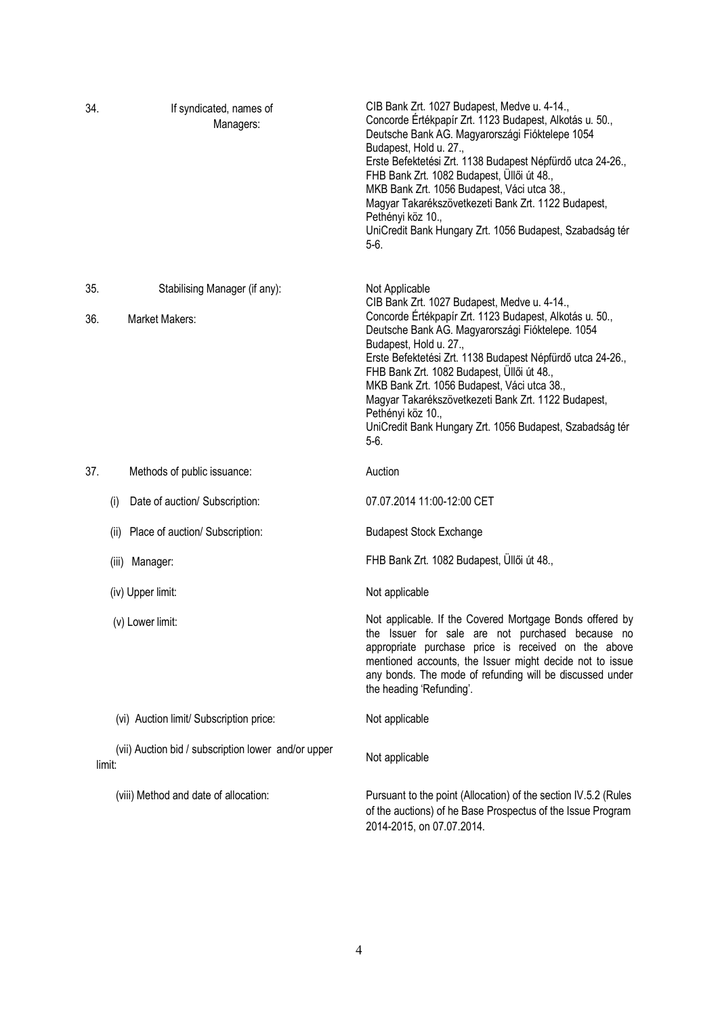| 34. |        | If syndicated, names of<br>Managers:                | CIB Bank Zrt. 1027 Budapest, Medve u. 4-14.,<br>Concorde Értékpapír Zrt. 1123 Budapest, Alkotás u. 50.,<br>Deutsche Bank AG. Magyarországi Fióktelepe 1054<br>Budapest, Hold u. 27.,<br>Erste Befektetési Zrt. 1138 Budapest Népfürdő utca 24-26.,<br>FHB Bank Zrt. 1082 Budapest, Üllői út 48.,<br>MKB Bank Zrt. 1056 Budapest, Váci utca 38.,<br>Magyar Takarékszövetkezeti Bank Zrt. 1122 Budapest,<br>Pethényi köz 10.,<br>UniCredit Bank Hungary Zrt. 1056 Budapest, Szabadság tér<br>$5-6.$ |
|-----|--------|-----------------------------------------------------|---------------------------------------------------------------------------------------------------------------------------------------------------------------------------------------------------------------------------------------------------------------------------------------------------------------------------------------------------------------------------------------------------------------------------------------------------------------------------------------------------|
| 35. |        | Stabilising Manager (if any):                       | Not Applicable<br>CIB Bank Zrt. 1027 Budapest, Medve u. 4-14.,                                                                                                                                                                                                                                                                                                                                                                                                                                    |
| 36. |        | Market Makers:                                      | Concorde Értékpapír Zrt. 1123 Budapest, Alkotás u. 50.,<br>Deutsche Bank AG. Magyarországi Fióktelepe. 1054<br>Budapest, Hold u. 27.,<br>Erste Befektetési Zrt. 1138 Budapest Népfürdő utca 24-26.,<br>FHB Bank Zrt. 1082 Budapest, Üllői út 48.,<br>MKB Bank Zrt. 1056 Budapest, Váci utca 38.,<br>Magyar Takarékszövetkezeti Bank Zrt. 1122 Budapest,<br>Pethényi köz 10.,<br>UniCredit Bank Hungary Zrt. 1056 Budapest, Szabadság tér<br>5-6.                                                  |
| 37. |        | Methods of public issuance:                         | Auction                                                                                                                                                                                                                                                                                                                                                                                                                                                                                           |
|     | (i)    | Date of auction/ Subscription:                      | 07.07.2014 11:00-12:00 CET                                                                                                                                                                                                                                                                                                                                                                                                                                                                        |
|     | (ii)   | Place of auction/ Subscription:                     | <b>Budapest Stock Exchange</b>                                                                                                                                                                                                                                                                                                                                                                                                                                                                    |
|     |        | (iii) Manager:                                      | FHB Bank Zrt. 1082 Budapest, Üllői út 48.,                                                                                                                                                                                                                                                                                                                                                                                                                                                        |
|     |        | (iv) Upper limit:                                   | Not applicable                                                                                                                                                                                                                                                                                                                                                                                                                                                                                    |
|     |        | (v) Lower limit:                                    | Not applicable. If the Covered Mortgage Bonds offered by<br>the Issuer for sale are not purchased because no<br>appropriate purchase price is received on the above<br>mentioned accounts, the Issuer might decide not to issue<br>any bonds. The mode of refunding will be discussed under<br>the heading 'Refunding'.                                                                                                                                                                           |
|     |        | (vi) Auction limit/ Subscription price:             | Not applicable                                                                                                                                                                                                                                                                                                                                                                                                                                                                                    |
|     | limit: | (vii) Auction bid / subscription lower and/or upper | Not applicable                                                                                                                                                                                                                                                                                                                                                                                                                                                                                    |
|     |        | (viii) Method and date of allocation:               | Pursuant to the point (Allocation) of the section IV.5.2 (Rules<br>of the auctions) of he Base Prospectus of the Issue Program<br>2014-2015, on 07.07.2014.                                                                                                                                                                                                                                                                                                                                       |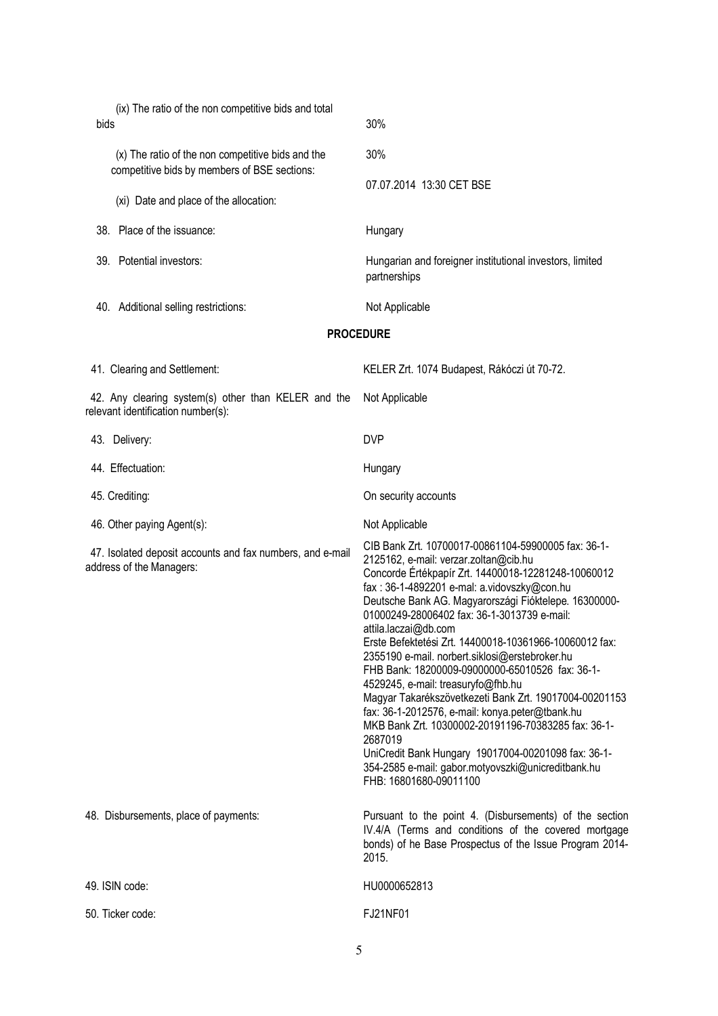| (ix) The ratio of the non competitive bids and total<br>bids                                      | 30%                                                                                                                                                                                                                                                                                                                                                                                                                                                                                                                                                                                                                                                                                                                                                                                                                                                           |  |
|---------------------------------------------------------------------------------------------------|---------------------------------------------------------------------------------------------------------------------------------------------------------------------------------------------------------------------------------------------------------------------------------------------------------------------------------------------------------------------------------------------------------------------------------------------------------------------------------------------------------------------------------------------------------------------------------------------------------------------------------------------------------------------------------------------------------------------------------------------------------------------------------------------------------------------------------------------------------------|--|
| (x) The ratio of the non competitive bids and the<br>competitive bids by members of BSE sections: | 30%                                                                                                                                                                                                                                                                                                                                                                                                                                                                                                                                                                                                                                                                                                                                                                                                                                                           |  |
| (xi) Date and place of the allocation:                                                            | 07.07.2014 13:30 CET BSE                                                                                                                                                                                                                                                                                                                                                                                                                                                                                                                                                                                                                                                                                                                                                                                                                                      |  |
| 38. Place of the issuance:                                                                        | Hungary                                                                                                                                                                                                                                                                                                                                                                                                                                                                                                                                                                                                                                                                                                                                                                                                                                                       |  |
| 39. Potential investors:                                                                          | Hungarian and foreigner institutional investors, limited<br>partnerships                                                                                                                                                                                                                                                                                                                                                                                                                                                                                                                                                                                                                                                                                                                                                                                      |  |
| 40. Additional selling restrictions:                                                              | Not Applicable                                                                                                                                                                                                                                                                                                                                                                                                                                                                                                                                                                                                                                                                                                                                                                                                                                                |  |
|                                                                                                   | <b>PROCEDURE</b>                                                                                                                                                                                                                                                                                                                                                                                                                                                                                                                                                                                                                                                                                                                                                                                                                                              |  |
| 41. Clearing and Settlement:                                                                      | KELER Zrt. 1074 Budapest, Rákóczi út 70-72.                                                                                                                                                                                                                                                                                                                                                                                                                                                                                                                                                                                                                                                                                                                                                                                                                   |  |
| 42. Any clearing system(s) other than KELER and the<br>relevant identification number(s):         | Not Applicable                                                                                                                                                                                                                                                                                                                                                                                                                                                                                                                                                                                                                                                                                                                                                                                                                                                |  |
| 43. Delivery:                                                                                     | <b>DVP</b>                                                                                                                                                                                                                                                                                                                                                                                                                                                                                                                                                                                                                                                                                                                                                                                                                                                    |  |
| 44. Effectuation:                                                                                 | Hungary                                                                                                                                                                                                                                                                                                                                                                                                                                                                                                                                                                                                                                                                                                                                                                                                                                                       |  |
| 45. Crediting:                                                                                    | On security accounts                                                                                                                                                                                                                                                                                                                                                                                                                                                                                                                                                                                                                                                                                                                                                                                                                                          |  |
| 46. Other paying Agent(s):                                                                        | Not Applicable                                                                                                                                                                                                                                                                                                                                                                                                                                                                                                                                                                                                                                                                                                                                                                                                                                                |  |
| 47. Isolated deposit accounts and fax numbers, and e-mail<br>address of the Managers:             | CIB Bank Zrt. 10700017-00861104-59900005 fax: 36-1-<br>2125162, e-mail: verzar.zoltan@cib.hu<br>Concorde Értékpapír Zrt. 14400018-12281248-10060012<br>fax: 36-1-4892201 e-mal: a.vidovszky@con.hu<br>Deutsche Bank AG. Magyarországi Fióktelepe. 16300000-<br>01000249-28006402 fax: 36-1-3013739 e-mail:<br>attila.laczai@db.com<br>Erste Befektetési Zrt. 14400018-10361966-10060012 fax:<br>2355190 e-mail. norbert.siklosi@erstebroker.hu<br>FHB Bank: 18200009-09000000-65010526 fax: 36-1-<br>4529245, e-mail: treasuryfo@fhb.hu<br>Magyar Takarékszövetkezeti Bank Zrt. 19017004-00201153<br>fax: 36-1-2012576, e-mail: konya.peter@tbank.hu<br>MKB Bank Zrt. 10300002-20191196-70383285 fax: 36-1-<br>2687019<br>UniCredit Bank Hungary 19017004-00201098 fax: 36-1-<br>354-2585 e-mail: gabor.motyovszki@unicreditbank.hu<br>FHB: 16801680-09011100 |  |
| 48. Disbursements, place of payments:                                                             | Pursuant to the point 4. (Disbursements) of the section<br>IV.4/A (Terms and conditions of the covered mortgage<br>bonds) of he Base Prospectus of the Issue Program 2014-<br>2015.                                                                                                                                                                                                                                                                                                                                                                                                                                                                                                                                                                                                                                                                           |  |
| 49. ISIN code:                                                                                    | HU0000652813                                                                                                                                                                                                                                                                                                                                                                                                                                                                                                                                                                                                                                                                                                                                                                                                                                                  |  |
| 50. Ticker code:                                                                                  | FJ21NF01                                                                                                                                                                                                                                                                                                                                                                                                                                                                                                                                                                                                                                                                                                                                                                                                                                                      |  |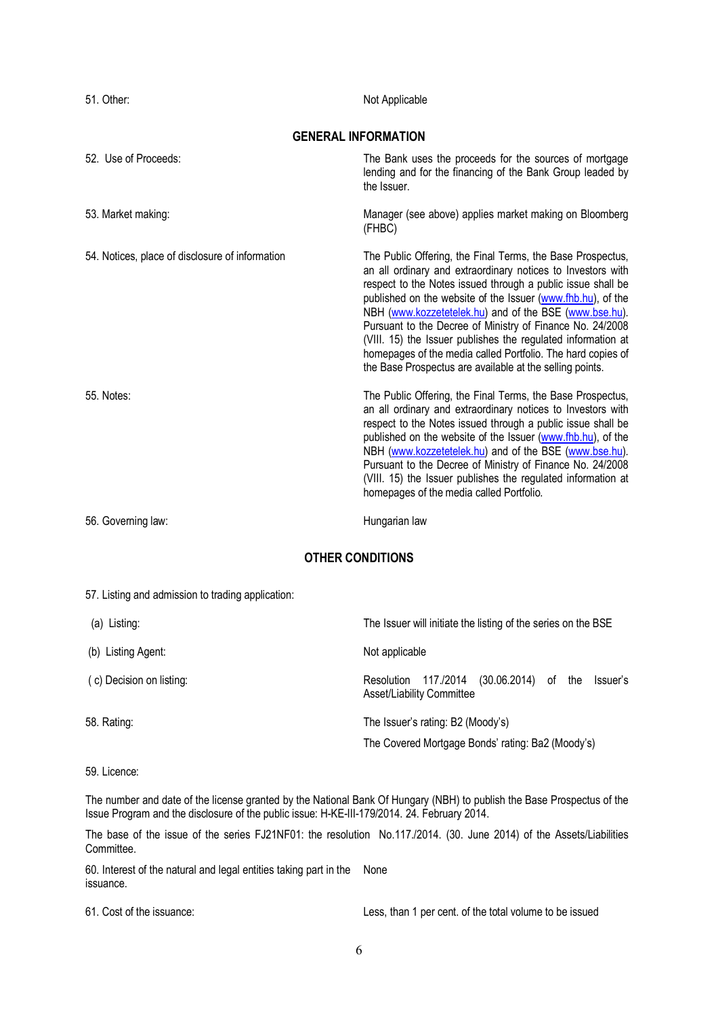| 51. Other:                                      | Not Applicable                                                                                                                                                                                                                                                                                                                                                                                                                                                                                                                                                            |  |
|-------------------------------------------------|---------------------------------------------------------------------------------------------------------------------------------------------------------------------------------------------------------------------------------------------------------------------------------------------------------------------------------------------------------------------------------------------------------------------------------------------------------------------------------------------------------------------------------------------------------------------------|--|
| <b>GENERAL INFORMATION</b>                      |                                                                                                                                                                                                                                                                                                                                                                                                                                                                                                                                                                           |  |
| 52. Use of Proceeds:                            | The Bank uses the proceeds for the sources of mortgage<br>lending and for the financing of the Bank Group leaded by<br>the Issuer.                                                                                                                                                                                                                                                                                                                                                                                                                                        |  |
| 53. Market making:                              | Manager (see above) applies market making on Bloomberg<br>(FHBC)                                                                                                                                                                                                                                                                                                                                                                                                                                                                                                          |  |
| 54. Notices, place of disclosure of information | The Public Offering, the Final Terms, the Base Prospectus,<br>an all ordinary and extraordinary notices to Investors with<br>respect to the Notes issued through a public issue shall be<br>published on the website of the Issuer (www.fhb.hu), of the<br>NBH (www.kozzetetelek.hu) and of the BSE (www.bse.hu).<br>Pursuant to the Decree of Ministry of Finance No. 24/2008<br>(VIII. 15) the Issuer publishes the regulated information at<br>homepages of the media called Portfolio. The hard copies of<br>the Base Prospectus are available at the selling points. |  |
| 55. Notes:                                      | The Public Offering, the Final Terms, the Base Prospectus,<br>an all ordinary and extraordinary notices to Investors with<br>respect to the Notes issued through a public issue shall be<br>published on the website of the Issuer (www.fhb.hu), of the<br>NBH (www.kozzetetelek.hu) and of the BSE (www.bse.hu).<br>Pursuant to the Decree of Ministry of Finance No. 24/2008<br>(VIII. 15) the Issuer publishes the regulated information at<br>homepages of the media called Portfolio.                                                                                |  |
| 56. Governing law:                              | Hungarian law                                                                                                                                                                                                                                                                                                                                                                                                                                                                                                                                                             |  |

## **OTHER CONDITIONS**

## 57. Listing and admission to trading application:

| (a) Listing:             | The Issuer will initiate the listing of the series on the BSE                           |
|--------------------------|-----------------------------------------------------------------------------------------|
| (b) Listing Agent:       | Not applicable                                                                          |
| (c) Decision on listing: | 117./2014<br>(30.06.2014) of the<br>Resolution<br>Issuer's<br>Asset/Liability Committee |
| 58. Rating:              | The Issuer's rating: B2 (Moody's)<br>The Covered Mortgage Bonds' rating: Ba2 (Moody's)  |

59. Licence:

The number and date of the license granted by the National Bank Of Hungary (NBH) to publish the Base Prospectus of the Issue Program and the disclosure of the public issue: H-KE-III-179/2014. 24. February 2014.

The base of the issue of the series FJ21NF01: the resolution No.117./2014. (30. June 2014) of the Assets/Liabilities Committee.

60. Interest of the natural and legal entities taking part in the None issuance.

61. Cost of the issuance: Less, than 1 per cent. of the total volume to be issued